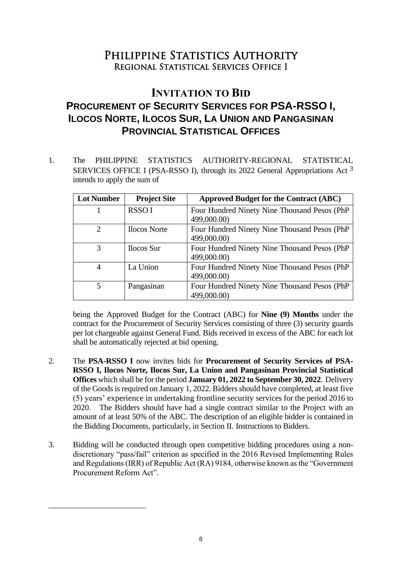## PHILIPPINE STATISTICS AUTHORITY Regional Statistical Services Office I

## **INVITATION TO BID PROCUREMENT OF SECURITY SERVICES FOR PSA-RSSO I, ILOCOS NORTE, ILOCOS SUR, LA UNION AND PANGASINAN PROVINCIAL STATISTICAL OFFICES**

1. The PHILIPPINE STATISTICS AUTHORITY-REGIONAL STATISTICAL SERVICES OFFICE I (PSA-RSSO I), through its 2022 General Appropriations Act 3 intends to apply the sum of

| <b>Lot Number</b> | <b>Project Site</b> | <b>Approved Budget for the Contract (ABC)</b> |
|-------------------|---------------------|-----------------------------------------------|
|                   | <b>RSSOI</b>        | Four Hundred Ninety Nine Thousand Pesos (PhP) |
|                   |                     | 499,000.00)                                   |
| $\overline{2}$    | <b>Ilocos</b> Norte | Four Hundred Ninety Nine Thousand Pesos (PhP) |
|                   |                     | 499,000.00)                                   |
| 3                 | <b>Ilocos</b> Sur   | Four Hundred Ninety Nine Thousand Pesos (PhP  |
|                   |                     | 499,000.00)                                   |
| 4                 | La Union            | Four Hundred Ninety Nine Thousand Pesos (PhP) |
|                   |                     | 499,000.00)                                   |
| 5                 | Pangasinan          | Four Hundred Ninety Nine Thousand Pesos (PhP  |
|                   |                     | 499,000.00)                                   |

being the Approved Budget for the Contract (ABC) for **Nine (9) Months** under the contract for the Procurement of Security Services consisting of three (3) security guards per lot chargeable against General Fund*.* Bids received in excess of the ABC for each lot shall be automatically rejected at bid opening.

- 2. The **PSA-RSSO I** now invites bids for **Procurement of Security Services of PSA-RSSO I, Ilocos Norte, Ilocos Sur, La Union and Pangasinan Provincial Statistical Offices** which shall be for the period **January 01, 2022 to September 30, 2022**. Delivery of the Goods is required on January 1, 2022. Bidders should have completed, at least five (5) years' experience in undertaking frontline security services for the period 2016 to 2020. The Bidders should have had a single contract similar to the Project with an amount of at least 50% of the ABC. The description of an eligible bidder is contained in the Bidding Documents, particularly, in Section II. Instructions to Bidders.
- 3. Bidding will be conducted through open competitive bidding procedures using a nondiscretionary "pass/fail" criterion as specified in the 2016 Revised Implementing Rules and Regulations (IRR) of Republic Act (RA) 9184, otherwise known as the "Government Procurement Reform Act".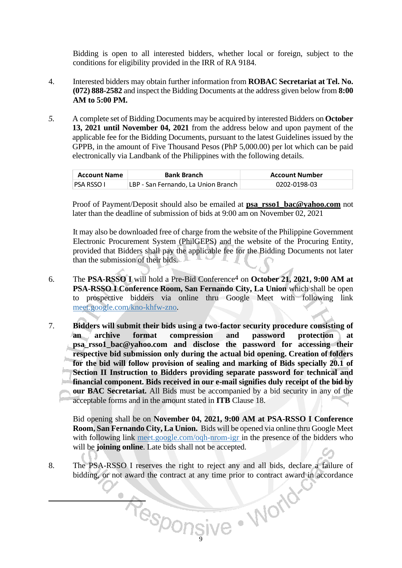Bidding is open to all interested bidders, whether local or foreign, subject to the conditions for eligibility provided in the IRR of RA 9184.

- 4. Interested bidders may obtain further information from **ROBAC Secretariat at Tel. No. (072) 888-2582** and inspect the Bidding Documents at the address given below from **8:00 AM to 5:00 PM.**
- *5.* A complete set of Bidding Documents may be acquired by interested Bidders on **October 13, 2021 until November 04, 2021** from the address below and upon payment of the applicable fee for the Bidding Documents, pursuant to the latest Guidelines issued by the GPPB, in the amount of Five Thousand Pesos (PhP 5,000.00) per lot which can be paid electronically via Landbank of the Philippines with the following details.

| <b>Account Name</b> | <b>Bank Branch</b>                  | <b>Account Number</b> |
|---------------------|-------------------------------------|-----------------------|
| PSA RSSO I          | LBP - San Fernando, La Union Branch | 0202-0198-03          |

Proof of Payment/Deposit should also be emailed at **psa\_rsso1\_bac@yahoo.com** not later than the deadline of submission of bids at 9:00 am on November 02, 2021

It may also be downloaded free of charge from the website of the Philippine Government Electronic Procurement System (PhilGEPS) and the website of the Procuring Entity*,*  provided that Bidders shall pay the applicable fee for the Bidding Documents not later than the submission of their bids.

- 6. The **PSA-RSSO I** will hold a Pre-Bid Conference4 on **October 21, 2021, 9:00 AM at PSA-RSSO I Conference Room, San Fernando City, La Union** which shall be open to prospective bidders via online thru Google Meet with following link meet.google.com/kno-khfw-zno.
- 7. **Bidders will submit their bids using a two-factor security procedure consisting of an archive format compression and password protection at psa\_rsso1\_bac@yahoo.com and disclose the password for accessing their respective bid submission only during the actual bid opening. Creation of folders for the bid will follow provision of sealing and marking of Bids specially 20.1 of Section II Instruction to Bidders providing separate password for technical and financial component. Bids received in our e-mail signifies duly receipt of the bid by our BAC Secretariat.** All Bids must be accompanied by a bid security in any of the acceptable forms and in the amount stated in **ITB** Clause 18.

Bid opening shall be on **November 04, 2021, 9:00 AM at PSA-RSSO I Conference Room, San Fernando City, La Union.** Bids will be opened via online thru Google Meet with following link meet.google.com/oqh-nrom-igr in the presence of the bidders who will be **joining online**. Late bids shall not be accepted.

8. The PSA-RSSO I reserves the right to reject any and all bids, declare a failure of bidding, or not award the contract at any time prior to contract award in accordance

Responsive . World